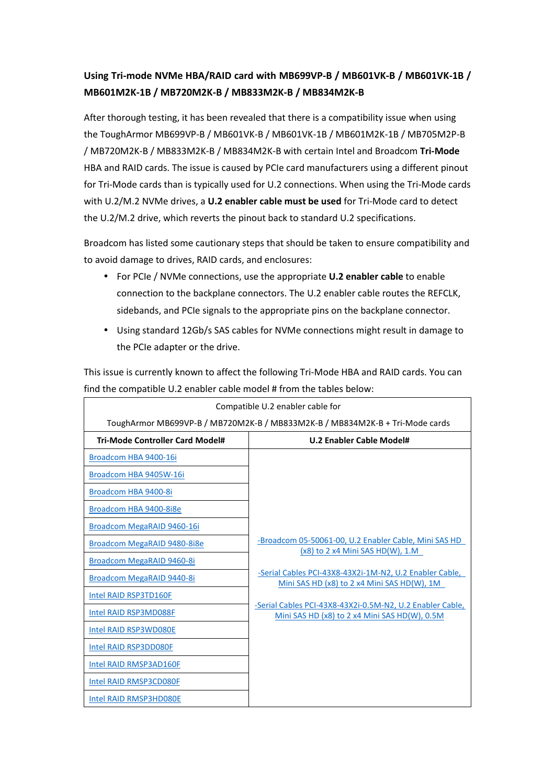## **Using Tri-mode NVMe HBA/RAID card with MB699VP-B / MB601VK-B / MB601VK-1B / MB601M2K-1B / MB720M2K-B / MB833M2K-B / MB834M2K-B**

After thorough testing, it has been revealed that there is a compatibility issue when using the ToughArmor MB699VP-B / MB601VK-B / MB601VK-1B / MB601M2K-1B / MB705M2P-B / MB720M2K-B / MB833M2K-B / MB834M2K-B with certain Intel and Broadcom **Tri-Mode**  HBA and RAID cards. The issue is caused by PCIe card manufacturers using a different pinout for Tri-Mode cards than is typically used for U.2 connections. When using the Tri-Mode cards with U.2/M.2 NVMe drives, a **U.2 enabler cable must be used** for Tri-Mode card to detect the U.2/M.2 drive, which reverts the pinout back to standard U.2 specifications.

Broadcom has listed some cautionary steps that should be taken to ensure compatibility and to avoid damage to drives, RAID cards, and enclosures:

- For PCIe / NVMe connections, use the appropriate **U.2 enabler cable** to enable connection to the backplane connectors. The U.2 enabler cable routes the REFCLK, sidebands, and PCIe signals to the appropriate pins on the backplane connector.
- Using standard 12Gb/s SAS cables for NVMe connections might result in damage to the PCIe adapter or the drive.

This issue is currently known to affect the following Tri-Mode HBA and RAID cards. You can find the compatible U.2 enabler cable model # from the tables below:

| Compatible U.2 enabler cable for                                             |                                                                                                            |  |
|------------------------------------------------------------------------------|------------------------------------------------------------------------------------------------------------|--|
| ToughArmor MB699VP-B / MB720M2K-B / MB833M2K-B / MB834M2K-B + Tri-Mode cards |                                                                                                            |  |
| <b>Tri-Mode Controller Card Model#</b>                                       | U.2 Enabler Cable Model#                                                                                   |  |
| Broadcom HBA 9400-16i                                                        |                                                                                                            |  |
| Broadcom HBA 9405W-16i                                                       |                                                                                                            |  |
| Broadcom HBA 9400-8i                                                         |                                                                                                            |  |
| Broadcom HBA 9400-8i8e                                                       |                                                                                                            |  |
| Broadcom MegaRAID 9460-16i                                                   |                                                                                                            |  |
| Broadcom MegaRAID 9480-8i8e                                                  | -Broadcom 05-50061-00, U.2 Enabler Cable, Mini SAS HD<br>$(x8)$ to 2 x4 Mini SAS HD(W), 1.M                |  |
| Broadcom MegaRAID 9460-8i                                                    |                                                                                                            |  |
| Broadcom MegaRAID 9440-8i                                                    | -Serial Cables PCI-43X8-43X2i-1M-N2, U.2 Enabler Cable,<br>Mini SAS HD (x8) to 2 x4 Mini SAS HD(W), 1M     |  |
| Intel RAID RSP3TD160F                                                        |                                                                                                            |  |
| Intel RAID RSP3MD088F                                                        | -Serial Cables PCI-43X8-43X2i-0.5M-N2, U.2 Enabler Cable,<br>Mini SAS HD (x8) to 2 x4 Mini SAS HD(W), 0.5M |  |
| Intel RAID RSP3WD080E                                                        |                                                                                                            |  |
| Intel RAID RSP3DD080F                                                        |                                                                                                            |  |
| Intel RAID RMSP3AD160F                                                       |                                                                                                            |  |
| Intel RAID RMSP3CD080F                                                       |                                                                                                            |  |
| Intel RAID RMSP3HD080E                                                       |                                                                                                            |  |